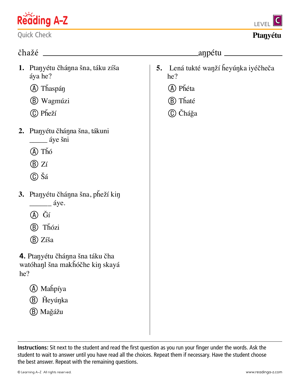

Quick Check

## čhažé aŋpétu

- **1.** Ptaŋyétu čháŋna šna, táku zíša áya he?
	- a Tȟaspáŋ
	- b Wagmúzi
	- c Pȟeží
- **2.** Ptaŋyétu čháŋna šna, tákuni \_\_\_\_\_ áye šni
	- a Tȟó
	- $(B)$  Zí
	- c Šá
- **3.** Ptaŋyétu čháŋna šna, pȟeží kiŋ  $\angle$  áye.
	- a Ǧí
	- b Tȟózi
	- b Zíša
- **4.** Ptaŋyétu čháŋna šna táku čha watóhaŋl šna makȟóčhe kiŋ skayá he?
	- a Maȟpíya
	- **(B)** Heyúnka
	- b Maǧážu
- **5.** Lená tukté waŋží ȟeyúŋka iyéčheča he?
	- (A) Phéta
	- b Tȟaté
	- C Čháğa

**Instructions:** Sit next to the student and read the first question as you run your finger under the words. Ask the student to wait to answer until you have read all the choices. Repeat them if necessary. Have the student choose the best answer. Repeat with the remaining questions.



## **Ptaŋyétu**